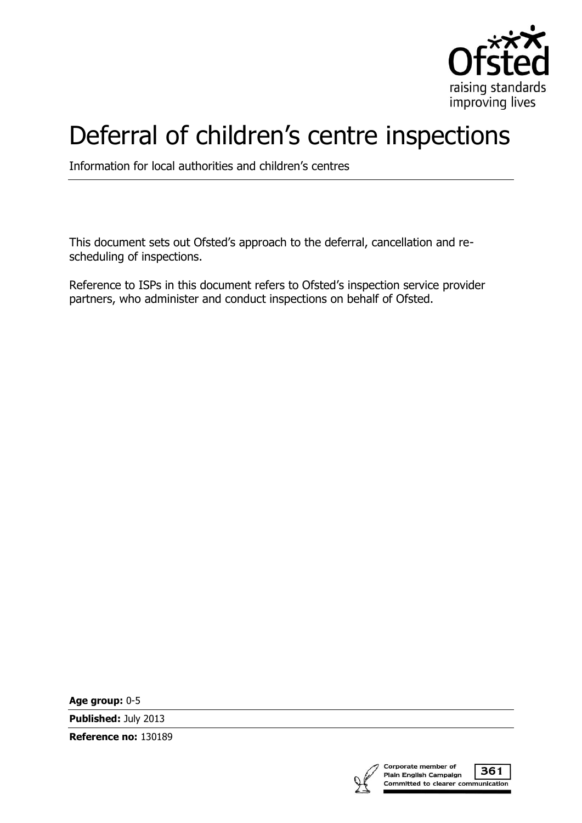

## Deferral of children's centre inspections

Information for local authorities and children's centres

This document sets out Ofsted's approach to the deferral, cancellation and rescheduling of inspections.

Reference to ISPs in this document refers to Ofsted's inspection service provider partners, who administer and conduct inspections on behalf of Ofsted.

**Age group:** 0-5

**Published:** July 2013

**Reference no:** 130189



361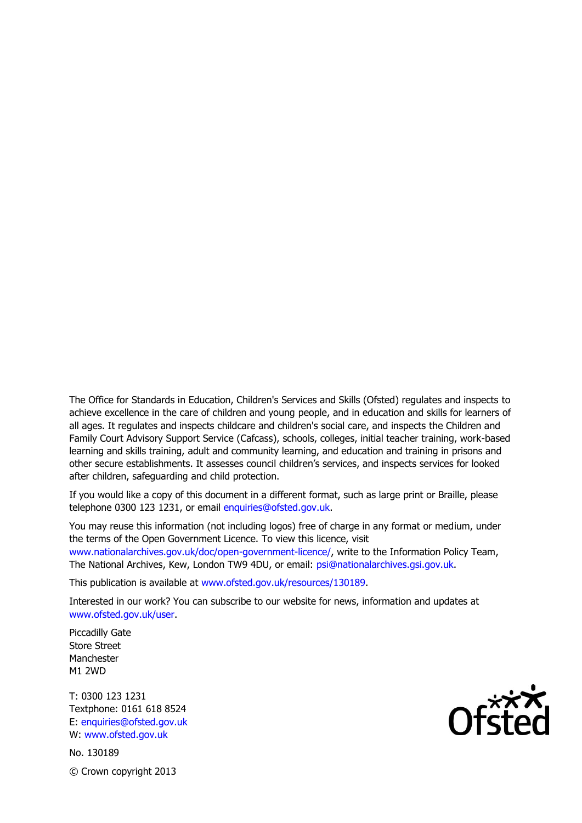The Office for Standards in Education, Children's Services and Skills (Ofsted) regulates and inspects to achieve excellence in the care of children and young people, and in education and skills for learners of all ages. It regulates and inspects childcare and children's social care, and inspects the Children and Family Court Advisory Support Service (Cafcass), schools, colleges, initial teacher training, work-based learning and skills training, adult and community learning, and education and training in prisons and other secure establishments. It assesses council children's services, and inspects services for looked after children, safeguarding and child protection.

If you would like a copy of this document in a different format, such as large print or Braille, please telephone 0300 123 1231, or email enquiries@ofsted.gov.uk.

You may reuse this information (not including logos) free of charge in any format or medium, under the terms of the Open Government Licence. To view this licence, visit www.nationalarchives.gov.uk/doc/open-government-licence/, write to the Information Policy Team, The National Archives, Kew, London TW9 4DU, or email: psi@nationalarchives.gsi.gov.uk.

This publication is available at www.ofsted.gov.uk/resources/130189.

Interested in our work? You can subscribe to our website for news, information and updates at www.ofsted.gov.uk/user.

Piccadilly Gate Store Street Manchester M1 2WD

T: 0300 123 1231 Textphone: 0161 618 8524 E: enquiries@ofsted.gov.uk W: www.ofsted.gov.uk

No. 130189 © Crown copyright 2013

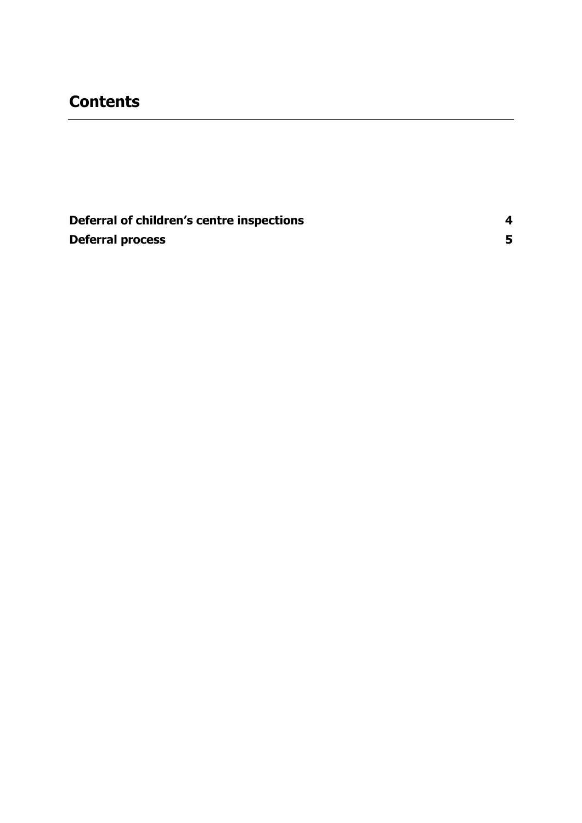## **Contents**

**[Deferral of children'](#page-3-0)s centre inspections 4 [Deferral process](#page-4-0) 5**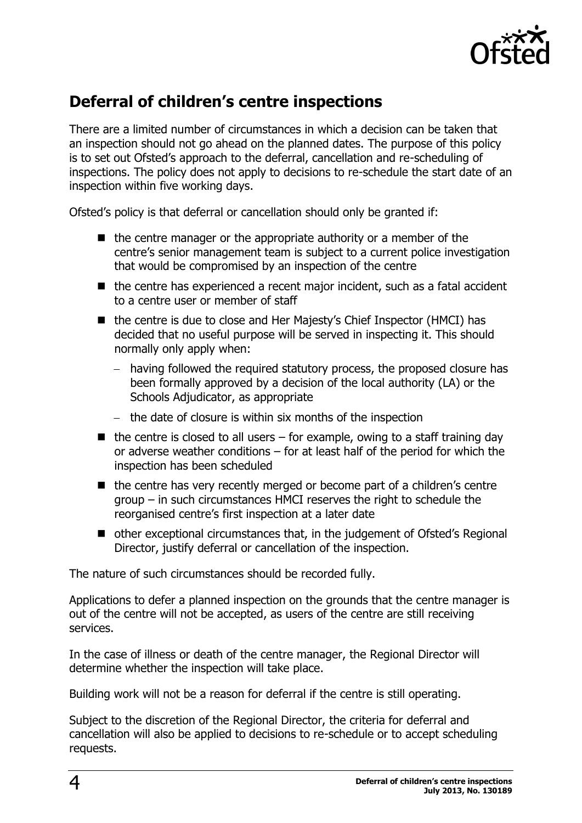

## <span id="page-3-0"></span>**Deferral of children's centre inspections**

There are a limited number of circumstances in which a decision can be taken that an inspection should not go ahead on the planned dates. The purpose of this policy is to set out Ofsted's approach to the deferral, cancellation and re-scheduling of inspections. The policy does not apply to decisions to re-schedule the start date of an inspection within five working days.

Ofsted's policy is that deferral or cancellation should only be granted if:

- the centre manager or the appropriate authority or a member of the centre's senior management team is subject to a current police investigation that would be compromised by an inspection of the centre
- $\blacksquare$  the centre has experienced a recent major incident, such as a fatal accident to a centre user or member of staff
- the centre is due to close and Her Majesty's Chief Inspector (HMCI) has decided that no useful purpose will be served in inspecting it. This should normally only apply when:
	- having followed the required statutory process, the proposed closure has been formally approved by a decision of the local authority (LA) or the Schools Adjudicator, as appropriate
	- $-$  the date of closure is within six months of the inspection
- $\blacksquare$  the centre is closed to all users for example, owing to a staff training day or adverse weather conditions – for at least half of the period for which the inspection has been scheduled
- $\blacksquare$  the centre has very recently merged or become part of a children's centre group – in such circumstances HMCI reserves the right to schedule the reorganised centre's first inspection at a later date
- other exceptional circumstances that, in the judgement of Ofsted's Regional Director, justify deferral or cancellation of the inspection.

The nature of such circumstances should be recorded fully.

Applications to defer a planned inspection on the grounds that the centre manager is out of the centre will not be accepted, as users of the centre are still receiving services.

In the case of illness or death of the centre manager, the Regional Director will determine whether the inspection will take place.

Building work will not be a reason for deferral if the centre is still operating.

Subject to the discretion of the Regional Director, the criteria for deferral and cancellation will also be applied to decisions to re-schedule or to accept scheduling requests.